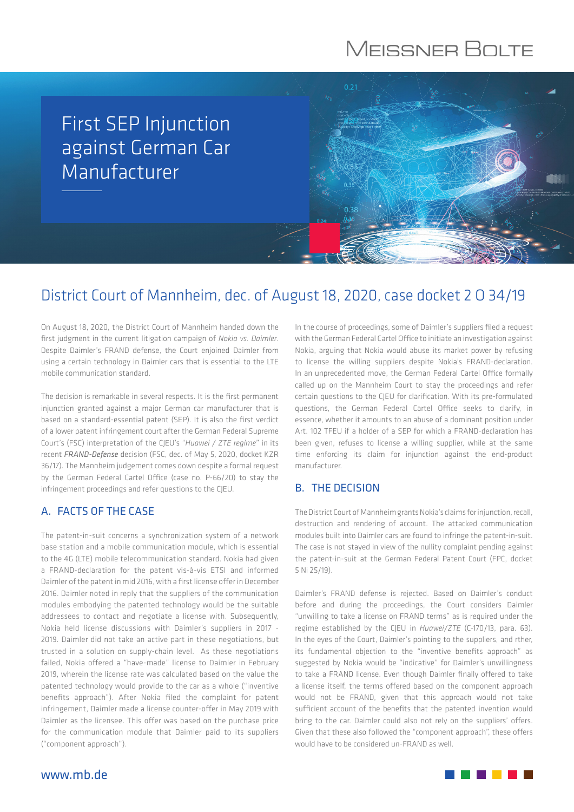# **MEISSNER BOLTE**

## First SEP Injunction against German Car Manufacturer

## District Court of Mannheim, dec. of August 18, 2020, case docket 2 O 34/19

On August 18, 2020, the District Court of Mannheim handed down the first judgment in the current litigation campaign of *Nokia vs. Daimler*. Despite Daimler's FRAND defense, the Court enjoined Daimler from using a certain technology in Daimler cars that is essential to the LTE mobile communication standard.

The decision is remarkable in several respects. It is the first permanent injunction granted against a major German car manufacturer that is based on a standard-essential patent (SEP). It is also the first verdict of a lower patent infringement court after the German Federal Supreme Court's (FSC) interpretation of the CJEU's "*Huawei / ZTE regime*" in its recent *FRAND-Defense* decision (FSC, dec. of May 5, 2020, docket KZR 36/17). The Mannheim judgement comes down despite a formal request by the German Federal Cartel Office (case no. P-66/20) to stay the infringement proceedings and refer questions to the CJEU.

### A. FACTS OF THE CASE

The patent-in-suit concerns a synchronization system of a network base station and a mobile communication module, which is essential to the 4G (LTE) mobile telecommunication standard. Nokia had given a FRAND-declaration for the patent vis-à-vis ETSI and informed Daimler of the patent in mid 2016, with a first license offer in December 2016. Daimler noted in reply that the suppliers of the communication modules embodying the patented technology would be the suitable addressees to contact and negotiate a license with. Subsequently, Nokia held license discussions with Daimler's suppliers in 2017 - 2019. Daimler did not take an active part in these negotiations, but trusted in a solution on supply-chain level. As these negotiations failed, Nokia offered a "have-made" license to Daimler in February 2019, wherein the license rate was calculated based on the value the patented technology would provide to the car as a whole ("inventive benefits approach"). After Nokia filed the complaint for patent infringement, Daimler made a license counter-offer in May 2019 with Daimler as the licensee. This offer was based on the purchase price for the communication module that Daimler paid to its suppliers ("component approach").

In the course of proceedings, some of Daimler's suppliers filed a request with the German Federal Cartel Office to initiate an investigation against Nokia, arguing that Nokia would abuse its market power by refusing to license the willing suppliers despite Nokia's FRAND-declaration. In an unprecedented move, the German Federal Cartel Office formally called up on the Mannheim Court to stay the proceedings and refer certain questions to the CJEU for clarification. With its pre-formulated questions, the German Federal Cartel Office seeks to clarify, in essence, whether it amounts to an abuse of a dominant position under Art. 102 TFEU if a holder of a SEP for which a FRAND-declaration has been given, refuses to license a willing supplier, while at the same time enforcing its claim for injunction against the end-product manufacturer.

### B. THE DECISION

 $0.38$ 

The District Court of Mannheim grants Nokia's claims for injunction, recall, destruction and rendering of account. The attacked communication modules built into Daimler cars are found to infringe the patent-in-suit. The case is not stayed in view of the nullity complaint pending against the patent-in-suit at the German Federal Patent Court (FPC, docket 5 Ni 25/19).

Daimler's FRAND defense is rejected. Based on Daimler's conduct before and during the proceedings, the Court considers Daimler "unwilling to take a license on FRAND terms" as is required under the regime established by the CJEU in *Huawei/ZTE* (C-170/13, para. 63). In the eyes of the Court, Daimler's pointing to the suppliers, and rther, its fundamental objection to the "inventive benefits approach" as suggested by Nokia would be "indicative" for Daimler's unwillingness to take a FRAND license. Even though Daimler finally offered to take a license itself, the terms offered based on the component approach would not be FRAND, given that this approach would not take sufficient account of the benefits that the patented invention would bring to the car. Daimler could also not rely on the suppliers' offers. Given that these also followed the "component approach", these offers would have to be considered un-FRAND as well.

www.mb.de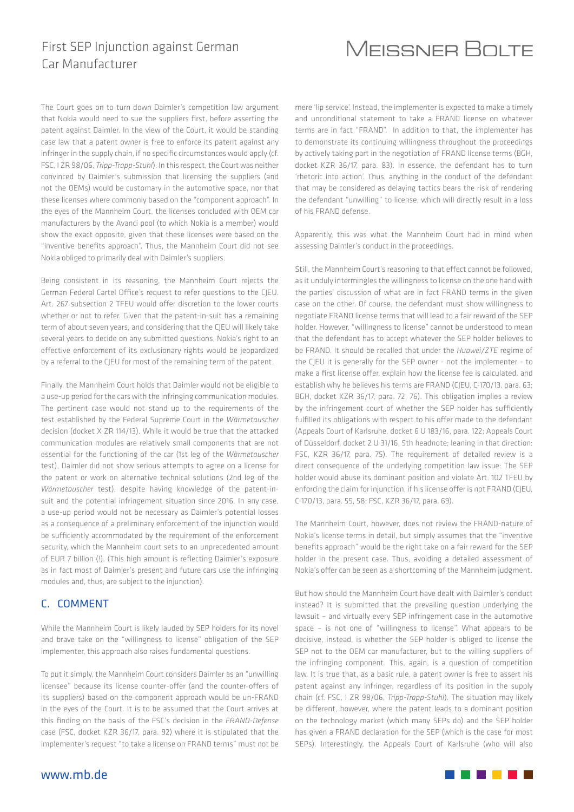### First SEP Injunction against German Car Manufacturer

## **MEISSNER BOLTE**

The Court goes on to turn down Daimler's competition law argument that Nokia would need to sue the suppliers first, before asserting the patent against Daimler. In the view of the Court, it would be standing case law that a patent owner is free to enforce its patent against any infringer in the supply chain, if no specific circumstances would apply (cf. FSC, I ZR 98/06, *Tripp-Trapp-Stuhl*). In this respect, the Court was neither convinced by Daimler's submission that licensing the suppliers (and not the OEMs) would be customary in the automotive space, nor that these licenses where commonly based on the "component approach". In the eyes of the Mannheim Court, the licenses concluded with OEM car manufacturers by the Avanci pool (to which Nokia is a member) would show the exact opposite, given that these licenses were based on the "inventive benefits approach". Thus, the Mannheim Court did not see Nokia obliged to primarily deal with Daimler's suppliers.

Being consistent in its reasoning, the Mannheim Court rejects the German Federal Cartel Office's request to refer questions to the CJEU. Art. 267 subsection 2 TFEU would offer discretion to the lower courts whether or not to refer. Given that the patent-in-suit has a remaining term of about seven years, and considering that the CJEU will likely take several years to decide on any submitted questions, Nokia's right to an effective enforcement of its exclusionary rights would be jeopardized by a referral to the CJEU for most of the remaining term of the patent.

Finally, the Mannheim Court holds that Daimler would not be eligible to a use-up period for the cars with the infringing communication modules. The pertinent case would not stand up to the requirements of the test established by the Federal Supreme Court in the *Wärmetauscher* decision (docket X ZR 114/13). While it would be true that the attacked communication modules are relatively small components that are not essential for the functioning of the car (1st leg of the *Wärmetauscher* test), Daimler did not show serious attempts to agree on a license for the patent or work on alternative technical solutions (2nd leg of the *Wärmetauscher* test), despite having knowledge of the patent-insuit and the potential infringement situation since 2016. In any case, a use-up period would not be necessary as Daimler's potential losses as a consequence of a preliminary enforcement of the injunction would be sufficiently accommodated by the requirement of the enforcement security, which the Mannheim court sets to an unprecedented amount of EUR 7 billion (!). (This high amount is reflecting Daimler's exposure as in fact most of Daimler's present and future cars use the infringing modules and, thus, are subject to the injunction).

#### C. COMMENT

While the Mannheim Court is likely lauded by SEP holders for its novel and brave take on the "willingness to license" obligation of the SEP implementer, this approach also raises fundamental questions.

To put it simply, the Mannheim Court considers Daimler as an "unwilling licensee" because its license counter-offer (and the counter-offers of its suppliers) based on the component approach would be un-FRAND in the eyes of the Court. It is to be assumed that the Court arrives at this finding on the basis of the FSC's decision in the *FRAND-Defense* case (FSC, docket KZR 36/17, para. 92) where it is stipulated that the implementer's request "to take a license on FRAND terms" must not be

mere 'lip service'. Instead, the implementer is expected to make a timely and unconditional statement to take a FRAND license on whatever terms are in fact "FRAND". In addition to that, the implementer has to demonstrate its continuing willingness throughout the proceedings by actively taking part in the negotiation of FRAND license terms (BGH, docket KZR 36/17, para. 83). In essence, the defendant has to turn 'rhetoric into action'. Thus, anything in the conduct of the defendant that may be considered as delaying tactics bears the risk of rendering the defendant "unwilling" to license, which will directly result in a loss of his FRAND defense.

Apparently, this was what the Mannheim Court had in mind when assessing Daimler's conduct in the proceedings.

Still, the Mannheim Court's reasoning to that effect cannot be followed, as it unduly intermingles the willingness to license on the one hand with the parties' discussion of what are in fact FRAND terms in the given case on the other. Of course, the defendant must show willingness to negotiate FRAND license terms that will lead to a fair reward of the SEP holder. However, "willingness to license" cannot be understood to mean that the defendant has to accept whatever the SEP holder believes to be FRAND. It should be recalled that under the *Huawei/ZTE* regime of the CJEU it is generally for the SEP owner - not the implementer - to make a first license offer, explain how the license fee is calculated, and establish why he believes his terms are FRAND (CJEU, C-170/13, para. 63; BGH, docket KZR 36/17, para. 72, 76). This obligation implies a review by the infringement court of whether the SEP holder has sufficiently fulfilled its obligations with respect to his offer made to the defendant (Appeals Court of Karlsruhe, docket 6 U 183/16, para. 122; Appeals Court of Düsseldorf, docket 2 U 31/16, 5th headnote; leaning in that direction: FSC, KZR 36/17, para. 75). The requirement of detailed review is a direct consequence of the underlying competition law issue: The SEP holder would abuse its dominant position and violate Art. 102 TFEU by enforcing the claim for injunction, if his license offer is not FRAND (CJEU, C-170/13, para. 55, 58; FSC, KZR 36/17, para. 69).

The Mannheim Court, however, does not review the FRAND-nature of Nokia's license terms in detail, but simply assumes that the "inventive benefits approach" would be the right take on a fair reward for the SEP holder in the present case. Thus, avoiding a detailed assessment of Nokia's offer can be seen as a shortcoming of the Mannheim judgment.

But how should the Mannheim Court have dealt with Daimler's conduct instead? It is submitted that the prevailing question underlying the lawsuit – and virtually every SEP infringement case in the automotive space – is not one of "willingness to license". What appears to be decisive, instead, is whether the SEP holder is obliged to license the SEP not to the OEM car manufacturer, but to the willing suppliers of the infringing component. This, again, is a question of competition law. It is true that, as a basic rule, a patent owner is free to assert his patent against any infringer, regardless of its position in the supply chain (cf. FSC, I ZR 98/06, *Tripp-Trapp-Stuhl*). The situation may likely be different, however, where the patent leads to a dominant position on the technology market (which many SEPs do) and the SEP holder has given a FRAND declaration for the SEP (which is the case for most SEPs). Interestingly, the Appeals Court of Karlsruhe (who will also

. . . . .

www.mb.de